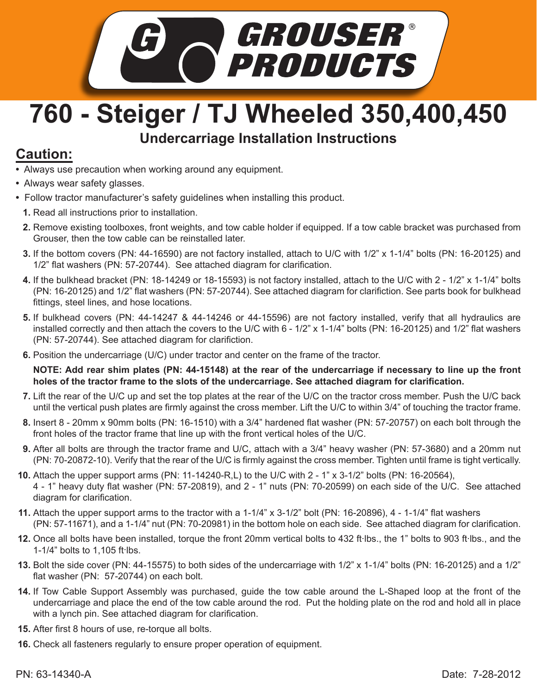

## **760 - Steiger / TJ Wheeled 350,400,450 Undercarriage Installation Instructions**

## **Caution:**

- Always use precaution when working around any equipment.
- Always wear safety glasses.
- Follow tractor manufacturer's safety guidelines when installing this product.
- **1.** Read all instructions prior to installation.
- 2. Remove existing toolboxes, front weights, and tow cable holder if equipped. If a tow cable bracket was purchased from Grouser, then the tow cable can be reinstalled later.
- If the bottom covers (PN: 44-16590) are not factory installed, attach to U/C with 1/2" x 1-1/4" bolts (PN: 16-20125) and **3.** 1/2" flat washers (PN: 57-20744). See attached diagram for clarification.
- If the bulkhead bracket (PN: 18-14249 or 18-15593) is not factory installed, attach to the U/C with 2 1/2" x 1-1/4" bolts **4.** (PN: 16-20125) and 1/2" flat washers (PN: 57-20744). See attached diagram for clarifiction. See parts book for bulkhead fittings, steel lines, and hose locations.
- If bulkhead covers (PN: 44-14247 & 44-14246 or 44-15596) are not factory installed, verify that all hydraulics are **5.** installed correctly and then attach the covers to the U/C with 6 - 1/2" x 1-1/4" bolts (PN: 16-20125) and 1/2" flat washers (PN: 57-20744). See attached diagram for clarifiction.
- Position the undercarriage (U/C) under tractor and center on the frame of the tractor. **6.**

**NOTE: Add rear shim plates (PN: 44-15148) at the rear of the undercarriage if necessary to line up the front holes of the tractor frame to the slots of the undercarriage. See attached diagram for clarification.** 

- Lift the rear of the U/C up and set the top plates at the rear of the U/C on the tractor cross member. Push the U/C back **7.** until the vertical push plates are firmly against the cross member. Lift the U/C to within 3/4" of touching the tractor frame.
- Insert 8 20mm x 90mm bolts (PN: 16-1510) with a 3/4" hardened flat washer (PN: 57-20757) on each bolt through the **8.** front holes of the tractor frame that line up with the front vertical holes of the U/C.
- After all bolts are through the tractor frame and U/C, attach with a 3/4" heavy washer (PN: 57-3680) and a 20mm nut **9.** (PN: 70-20872-10). Verify that the rear of the U/C is firmly against the cross member. Tighten until frame is tight vertically.
- Attach the upper support arms (PN: 11-14240-R,L) to the U/C with 2 1" x 3-1/2" bolts (PN: 16-20564), **10.** 4 - 1" heavy duty flat washer (PN: 57-20819), and 2 - 1" nuts (PN: 70-20599) on each side of the U/C. See attached diagram for clarification.
- Attach the upper support arms to the tractor with a 1-1/4" x 3-1/2" bolt (PN: 16-20896), 4 1-1/4" flat washers **11.** (PN: 57-11671), and a 1-1/4" nut (PN: 70-20981) in the bottom hole on each side. See attached diagram for clarification.
- 12. Once all bolts have been installed, torque the front 20mm vertical bolts to 432 ft·lbs., the 1" bolts to 903 ft·lbs., and the 1-1/4" bolts to 1,105 ft. lbs.
- **13.** Bolt the side cover (PN: 44-15575) to both sides of the undercarriage with 1/2" x 1-1/4" bolts (PN: 16-20125) and a 1/2" flat washer (PN: 57-20744) on each bolt.
- 14. If Tow Cable Support Assembly was purchased, guide the tow cable around the L-Shaped loop at the front of the undercarriage and place the end of the tow cable around the rod. Put the holding plate on the rod and hold all in place with a lynch pin. See attached diagram for clarification.
- After first 8 hours of use, re-torque all bolts. **15.**
- **16.** Check all fasteners regularly to ensure proper operation of equipment.